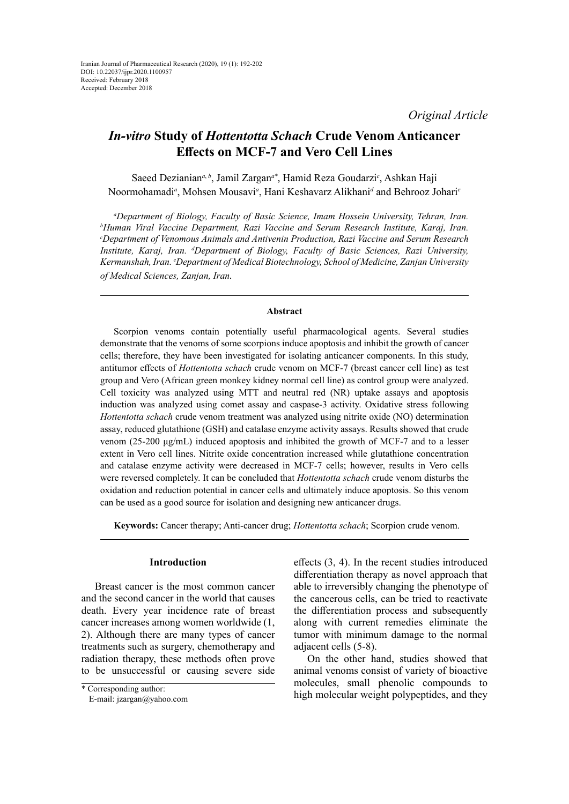# *In-vitro* **Study of** *Hottentotta Schach* **Crude Venom Anticancer Effects on MCF-7 and Vero Cell Lines**

Saeed Dezianian<sup>a, b</sup>, Jamil Zargan<sup>a\*</sup>, Hamid Reza Goudarzi<sup>c</sup>, Ashkan Haji Noormohamadi*<sup>a</sup>* , Mohsen Mousavi*<sup>a</sup>* , Hani Keshavarz Alikhani*<sup>d</sup>* and Behrooz Johari*<sup>e</sup>*

<sup>a</sup>Department of Biology, Faculty of Basic Science, Imam Hossein University, Tehran, Iran.<br><sup>b</sup>Human Viral Vaccine Department, Razi Vaccine and Serum Research Institute, Karai, Iran. *Human Viral Vaccine Department, Razi Vaccine and Serum Research Institute, Karaj, Iran. c Department of Venomous Animals and Antivenin Production, Razi Vaccine and Serum Research Institute, Karaj, Iran. d Department of Biology, Faculty of Basic Sciences, Razi University, Kermanshah, Iran. e Department of Medical Biotechnology, School of Medicine, Zanjan University of Medical Sciences, Zanjan, Iran.*

# **Abstract**

Scorpion venoms contain potentially useful pharmacological agents. Several studies demonstrate that the venoms of some scorpions induce apoptosis and inhibit the growth of cancer cells; therefore, they have been investigated for isolating anticancer components. In this study, antitumor effects of *Hottentotta schach* crude venom on MCF-7 (breast cancer cell line) as test group and Vero (African green monkey kidney normal cell line) as control group were analyzed. Cell toxicity was analyzed using MTT and neutral red (NR) uptake assays and apoptosis induction was analyzed using comet assay and caspase-3 activity. Oxidative stress following *Hottentotta schach* crude venom treatment was analyzed using nitrite oxide (NO) determination assay, reduced glutathione (GSH) and catalase enzyme activity assays. Results showed that crude venom (25-200 μg/mL) induced apoptosis and inhibited the growth of MCF-7 and to a lesser extent in Vero cell lines. Nitrite oxide concentration increased while glutathione concentration and catalase enzyme activity were decreased in MCF-7 cells; however, results in Vero cells were reversed completely. It can be concluded that *Hottentotta schach* crude venom disturbs the oxidation and reduction potential in cancer cells and ultimately induce apoptosis. So this venom can be used as a good source for isolation and designing new anticancer drugs.

**Keywords:** Cancer therapy; Anti-cancer drug; *Hottentotta schach*; Scorpion crude venom.

# **Introduction**

Breast cancer is the most common cancer and the second cancer in the world that causes death. Every year incidence rate of breast cancer increases among women worldwide (1, 2). Although there are many types of cancer treatments such as surgery, chemotherapy and radiation therapy, these methods often prove to be unsuccessful or causing severe side

effects (3, 4). In the recent studies introduced differentiation therapy as novel approach that able to irreversibly changing the phenotype of the cancerous cells, can be tried to reactivate the differentiation process and subsequently along with current remedies eliminate the tumor with minimum damage to the normal adjacent cells (5-8).

On the other hand, studies showed that animal venoms consist of variety of bioactive molecules, small phenolic compounds to high molecular weight polypeptides, and they

<sup>\*</sup> Corresponding author:

E-mail: jzargan@yahoo.com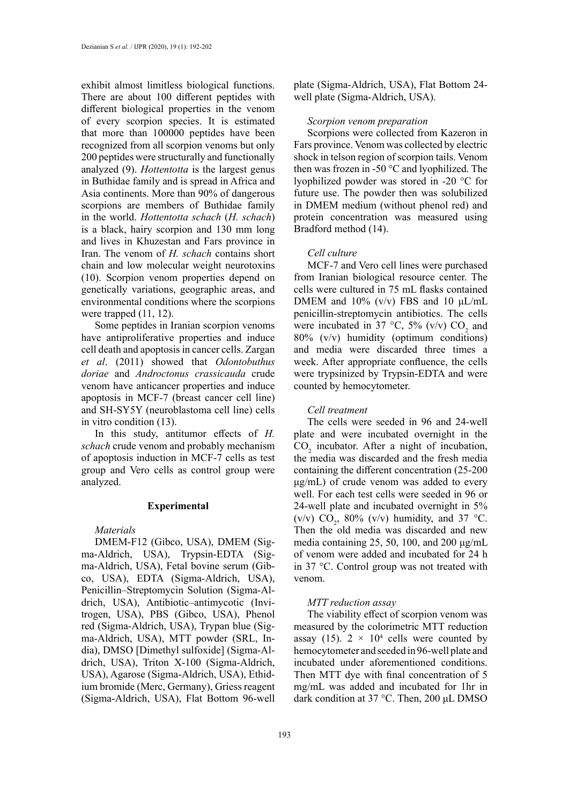exhibit almost limitless biological functions. There are about 100 different peptides with different biological properties in the venom of every scorpion species. It is estimated that more than 100000 peptides have been recognized from all scorpion venoms but only 200 peptides were structurally and functionally analyzed (9). *Hottentotta* is the largest genus in Buthidae family and is spread in Africa and Asia continents. More than 90% of dangerous scorpions are members of Buthidae family in the world. *Hottentotta schach* (*H. schach*) is a black, hairy scorpion and 130 mm long and lives in Khuzestan and Fars province in Iran. The venom of *H. schach* contains short chain and low molecular weight neurotoxins (10). Scorpion venom properties depend on genetically variations, geographic areas, and environmental conditions where the scorpions were trapped  $(11, 12)$ .

Some peptides in Iranian scorpion venoms have antiproliferative properties and induce cell death and apoptosis in cancer cells. Zargan *et al*. (2011) showed that *Odontobuthus doriae* and *Androctonus crassicauda* crude venom have anticancer properties and induce apoptosis in MCF-7 (breast cancer cell line) and SH-SY5Y (neuroblastoma cell line) cells in vitro condition (13).

In this study, antitumor effects of *H. schach* crude venom and probably mechanism of apoptosis induction in MCF-7 cells as test group and Vero cells as control group were analyzed.

# **Experimental**

#### *Materials*

DMEM-F12 (Gibco, USA), DMEM (Sigma-Aldrich, USA), Trypsin-EDTA (Sigma-Aldrich, USA), Fetal bovine serum (Gibco, USA), EDTA (Sigma-Aldrich, USA), Penicillin–Streptomycin Solution (Sigma-Aldrich, USA), Antibiotic–antimycotic (Invitrogen, USA), PBS (Gibco, USA), Phenol red (Sigma-Aldrich, USA), Trypan blue (Sigma-Aldrich, USA), MTT powder (SRL, India), DMSO [Dimethyl sulfoxide] (Sigma-Aldrich, USA), Triton X-100 (Sigma-Aldrich, USA), Agarose (Sigma-Aldrich, USA), Ethidium bromide (Merc, Germany), Griess reagent (Sigma-Aldrich, USA), Flat Bottom 96-well plate (Sigma-Aldrich, USA), Flat Bottom 24 well plate (Sigma-Aldrich, USA).

#### *Scorpion venom preparation*

Scorpions were collected from Kazeron in Fars province. Venom was collected by electric shock in telson region of scorpion tails. Venom then was frozen in -50 °C and lyophilized. The lyophilized powder was stored in -20 °C for future use. The powder then was solubilized in DMEM medium (without phenol red) and protein concentration was measured using Bradford method (14).

## *Cell culture*

MCF-7 and Vero cell lines were purchased from Iranian biological resource center. The cells were cultured in 75 mL flasks contained DMEM and  $10\%$  (v/v) FBS and 10  $\mu L/mL$ penicillin-streptomycin antibiotics. The cells were incubated in 37 °C, 5% (v/v)  $CO_2$  and 80% (v/v) humidity (optimum conditions) and media were discarded three times a week. After appropriate confluence, the cells were trypsinized by Trypsin-EDTA and were counted by hemocytometer.

## *Cell treatment*

The cells were seeded in 96 and 24-well plate and were incubated overnight in the  $CO<sub>2</sub>$  incubator. After a night of incubation, the media was discarded and the fresh media containing the different concentration (25-200 μg/mL) of crude venom was added to every well. For each test cells were seeded in 96 or 24-well plate and incubated overnight in 5% (v/v)  $CO_2$ , 80% (v/v) humidity, and 37 °C. Then the old media was discarded and new media containing 25, 50, 100, and 200 μg/mL of venom were added and incubated for 24 h in 37 °C. Control group was not treated with venom.

# *MTT reduction assay*

The viability effect of scorpion venom was measured by the colorimetric MTT reduction assay (15).  $2 \times 10^4$  cells were counted by hemocytometer and seeded in 96-well plate and incubated under aforementioned conditions. Then MTT dye with final concentration of 5 mg/mL was added and incubated for 1hr in dark condition at 37 °C. Then, 200 μL DMSO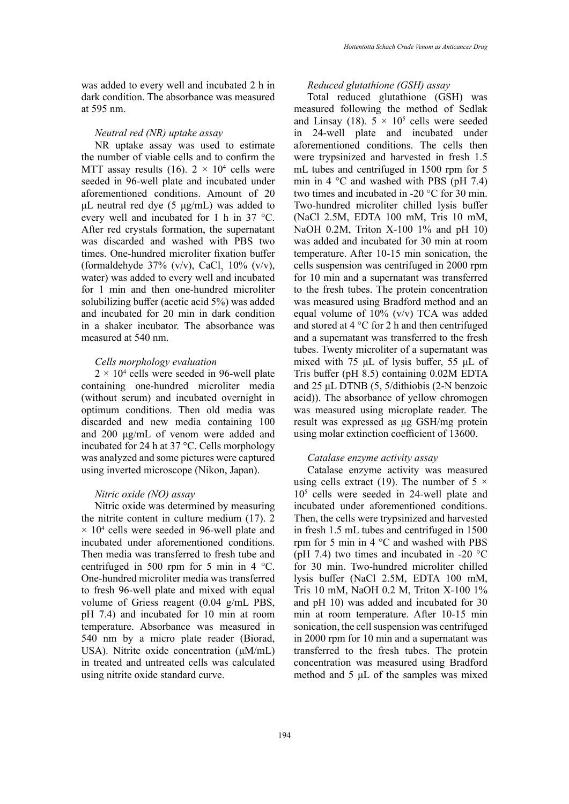was added to every well and incubated 2 h in dark condition. The absorbance was measured at 595 nm.

# *Neutral red (NR) uptake assay*

NR uptake assay was used to estimate the number of viable cells and to confirm the MTT assay results (16).  $2 \times 10^4$  cells were seeded in 96-well plate and incubated under aforementioned conditions. Amount of 20 μL neutral red dye (5 μg/mL) was added to every well and incubated for 1 h in 37 °C. After red crystals formation, the supernatant was discarded and washed with PBS two times. One-hundred microliter fixation buffer (formaldehyde 37% (v/v), CaCl<sub>2</sub> 10% (v/v), water) was added to every well and incubated for 1 min and then one-hundred microliter solubilizing buffer (acetic acid 5%) was added and incubated for 20 min in dark condition in a shaker incubator. The absorbance was measured at 540 nm.

# *Cells morphology evaluation*

 $2 \times 10^4$  cells were seeded in 96-well plate containing one-hundred microliter media (without serum) and incubated overnight in optimum conditions. Then old media was discarded and new media containing 100 and 200 μg/mL of venom were added and incubated for 24 h at 37 °C. Cells morphology was analyzed and some pictures were captured using inverted microscope (Nikon, Japan).

#### *Nitric oxide (NO) assay*

Nitric oxide was determined by measuring the nitrite content in culture medium (17). 2  $\times$  10<sup>4</sup> cells were seeded in 96-well plate and incubated under aforementioned conditions. Then media was transferred to fresh tube and centrifuged in 500 rpm for 5 min in 4 °C. One-hundred microliter media was transferred to fresh 96-well plate and mixed with equal volume of Griess reagent (0.04 g/mL PBS, pH 7.4) and incubated for 10 min at room temperature. Absorbance was measured in 540 nm by a micro plate reader (Biorad, USA). Nitrite oxide concentration (μM/mL) in treated and untreated cells was calculated using nitrite oxide standard curve.

*Reduced glutathione (GSH) assay*

Total reduced glutathione (GSH) was measured following the method of Sedlak and Linsay (18).  $5 \times 10^5$  cells were seeded in 24-well plate and incubated under aforementioned conditions. The cells then were trypsinized and harvested in fresh 1.5 mL tubes and centrifuged in 1500 rpm for 5 min in  $4 \degree$ C and washed with PBS (pH 7.4) two times and incubated in -20 °C for 30 min. Two-hundred microliter chilled lysis buffer (NaCl 2.5M, EDTA 100 mM, Tris 10 mM, NaOH 0.2M, Triton X-100 1% and pH 10) was added and incubated for 30 min at room temperature. After 10-15 min sonication, the cells suspension was centrifuged in 2000 rpm for 10 min and a supernatant was transferred to the fresh tubes. The protein concentration was measured using Bradford method and an equal volume of 10% (v/v) TCA was added and stored at 4 °C for 2 h and then centrifuged and a supernatant was transferred to the fresh tubes. Twenty microliter of a supernatant was mixed with 75 μL of lysis buffer, 55 μL of Tris buffer (pH 8.5) containing 0.02M EDTA and 25 μL DTNB (5, 5/dithiobis (2-N benzoic acid)). The absorbance of yellow chromogen was measured using microplate reader. The result was expressed as μg GSH/mg protein using molar extinction coefficient of 13600.

## *Catalase enzyme activity assay*

Catalase enzyme activity was measured using cells extract (19). The number of  $5 \times$ 105 cells were seeded in 24-well plate and incubated under aforementioned conditions. Then, the cells were trypsinized and harvested in fresh 1.5 mL tubes and centrifuged in 1500 rpm for 5 min in 4 °C and washed with PBS (pH 7.4) two times and incubated in -20  $^{\circ}$ C for 30 min. Two-hundred microliter chilled lysis buffer (NaCl 2.5M, EDTA 100 mM, Tris 10 mM, NaOH 0.2 M, Triton X-100 1% and pH 10) was added and incubated for 30 min at room temperature. After 10-15 min sonication, the cell suspension was centrifuged in 2000 rpm for 10 min and a supernatant was transferred to the fresh tubes. The protein concentration was measured using Bradford method and 5 μL of the samples was mixed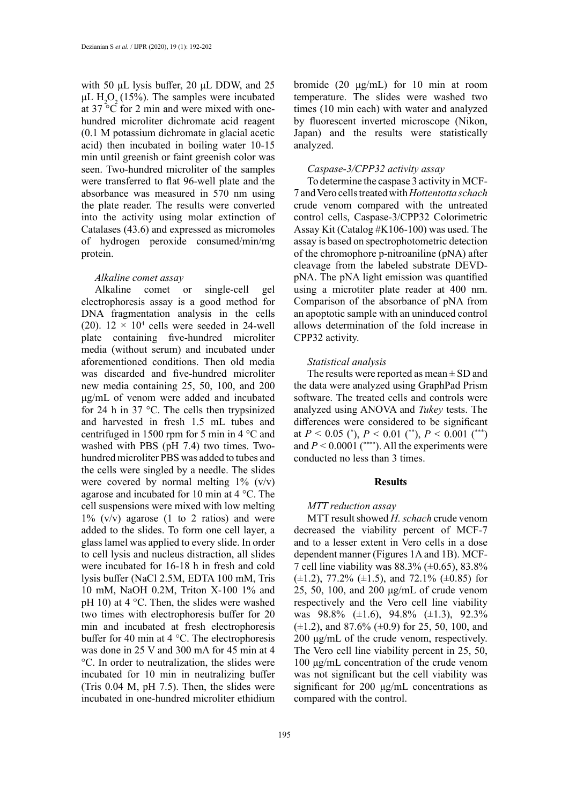with 50 μL lysis buffer, 20 μL DDW, and 25 μL  $H_2O_2(15%)$ . The samples were incubated at  $37^{\circ}$ C for 2 min and were mixed with onehundred microliter dichromate acid reagent (0.1 M potassium dichromate in glacial acetic acid) then incubated in boiling water 10-15 min until greenish or faint greenish color was seen. Two-hundred microliter of the samples were transferred to flat 96-well plate and the absorbance was measured in 570 nm using the plate reader. The results were converted into the activity using molar extinction of Catalases (43.6) and expressed as micromoles of hydrogen peroxide consumed/min/mg protein.

# *Alkaline comet assay*

Alkaline comet or single-cell gel electrophoresis assay is a good method for DNA fragmentation analysis in the cells (20).  $12 \times 10^4$  cells were seeded in 24-well plate containing five-hundred microliter media (without serum) and incubated under aforementioned conditions. Then old media was discarded and five-hundred microliter new media containing 25, 50, 100, and 200 μg/mL of venom were added and incubated for 24 h in 37 °C. The cells then trypsinized and harvested in fresh 1.5 mL tubes and centrifuged in 1500 rpm for 5 min in 4 °C and washed with PBS (pH 7.4) two times. Twohundred microliter PBS was added to tubes and the cells were singled by a needle. The slides were covered by normal melting  $1\%$  (v/v) agarose and incubated for 10 min at 4 °C. The cell suspensions were mixed with low melting  $1\%$  (v/v) agarose (1 to 2 ratios) and were added to the slides. To form one cell layer, a glass lamel was applied to every slide. In order to cell lysis and nucleus distraction, all slides were incubated for 16-18 h in fresh and cold lysis buffer (NaCl 2.5M, EDTA 100 mM, Tris 10 mM, NaOH 0.2M, Triton X-100 1% and pH 10) at  $4^{\circ}$ C. Then, the slides were washed two times with electrophoresis buffer for 20 min and incubated at fresh electrophoresis buffer for 40 min at 4 °C. The electrophoresis was done in 25 V and 300 mA for 45 min at 4 °C. In order to neutralization, the slides were incubated for 10 min in neutralizing buffer (Tris 0.04 M, pH 7.5). Then, the slides were incubated in one-hundred microliter ethidium

bromide (20 μg/mL) for 10 min at room temperature. The slides were washed two times (10 min each) with water and analyzed by fluorescent inverted microscope (Nikon, Japan) and the results were statistically analyzed.

## *Caspase-3/CPP32 activity assay*

To determine the caspase 3 activity in MCF-7 and Vero cells treated with *Hottentotta schach* crude venom compared with the untreated control cells, Caspase-3/CPP32 Colorimetric Assay Kit (Catalog #K106-100) was used. The assay is based on spectrophotometric detection of the chromophore p-nitroaniline (pNA) after cleavage from the labeled substrate DEVDpNA. The pNA light emission was quantified using a microtiter plate reader at 400 nm. Comparison of the absorbance of pNA from an apoptotic sample with an uninduced control allows determination of the fold increase in CPP32 activity.

# *Statistical analysis*

The results were reported as mean  $\pm$  SD and the data were analyzed using GraphPad Prism software. The treated cells and controls were analyzed using ANOVA and *Tukey* tests. The differences were considered to be significant at  $P < 0.05$  (\*),  $P < 0.01$  (\*\*),  $P < 0.001$  (\*\*\*) and  $P \le 0.0001$  (\*\*\*\*). All the experiments were conducted no less than 3 times.

#### **Results**

## *MTT reduction assay*

MTT result showed *H. schach* crude venom decreased the viability percent of MCF-7 and to a lesser extent in Vero cells in a dose dependent manner (Figures 1A and 1B). MCF-7 cell line viability was  $88.3\%$  ( $\pm 0.65$ ),  $83.8\%$  $(\pm 1.2)$ , 77.2%  $(\pm 1.5)$ , and 72.1%  $(\pm 0.85)$  for 25, 50, 100, and 200 μg/mL of crude venom respectively and the Vero cell line viability was  $98.8\%$  ( $\pm 1.6$ ),  $94.8\%$  ( $\pm 1.3$ ),  $92.3\%$  $(\pm 1.2)$ , and 87.6%  $(\pm 0.9)$  for 25, 50, 100, and 200 μg/mL of the crude venom, respectively. The Vero cell line viability percent in 25, 50, 100 μg/mL concentration of the crude venom was not significant but the cell viability was significant for 200 μg/mL concentrations as compared with the control.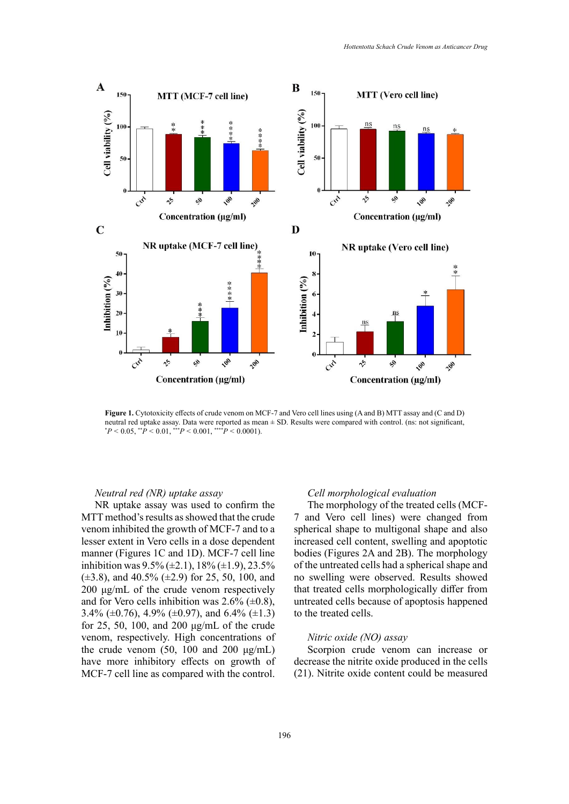

**Figure 1.** Cytotoxicity effects of crude venom on MCF-7 and Vero cell lines using (A and B) MTT assay and (C and D)  ${}^*P < 0.05, {}^{**}P < 0.01, {}^{***}P < 0.001, {}^{***}P < 0.0001$ . neutral red uptake assay. Data were reported as mean ± SD. Results were compared with control. (ns: not significant,

## *Neutral red (NR) uptake assay*

NR uptake assay was used to confirm the MTT method's results as showed that the crude venom inhibited the growth of MCF-7 and to a lesser extent in Vero cells in a dose dependent manner (Figures 1C and 1D). MCF-7 cell line inhibition was  $9.5\%$  ( $\pm$ 2.1), 18% ( $\pm$ 1.9), 23.5%  $(\pm 3.8)$ , and 40.5%  $(\pm 2.9)$  for 25, 50, 100, and 200 μg/mL of the crude venom respectively and for Vero cells inhibition was  $2.6\%$  ( $\pm 0.8$ ), 3.4% ( $\pm$ 0.76), 4.9% ( $\pm$ 0.97), and 6.4% ( $\pm$ 1.3) for 25, 50, 100, and 200 μg/mL of the crude venom, respectively. High concentrations of the crude venom  $(50, 100 \text{ and } 200 \text{ µg/mL})$ have more inhibitory effects on growth of MCF-7 cell line as compared with the control.

# *Cell morphological evaluation*

The morphology of the treated cells (MCF-7 and Vero cell lines) were changed from spherical shape to multigonal shape and also increased cell content, swelling and apoptotic bodies (Figures 2A and 2B). The morphology of the untreated cells had a spherical shape and no swelling were observed. Results showed that treated cells morphologically differ from untreated cells because of apoptosis happened to the treated cells.

# *Nitric oxide (NO) assay*

Scorpion crude venom can increase or decrease the nitrite oxide produced in the cells (21). Nitrite oxide content could be measured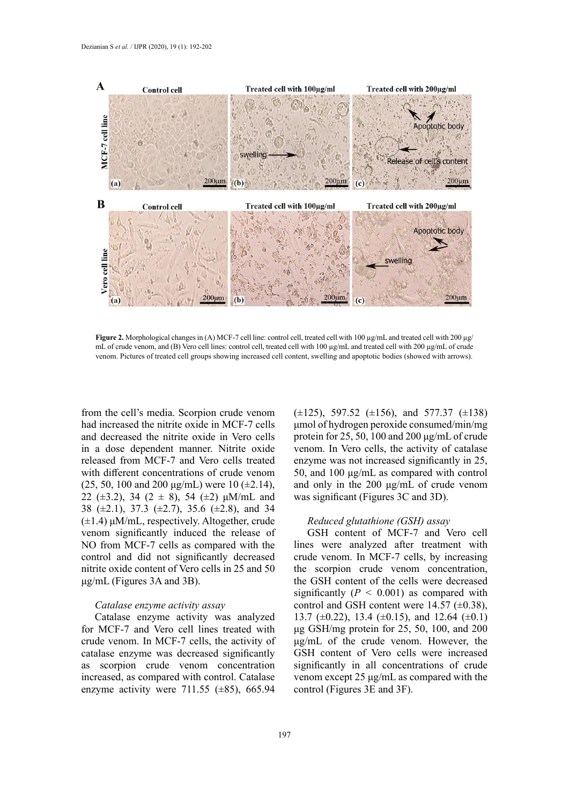

where treated venom, and (B) vero centrol centrol centrol cell, treated cell with 100 pg mB and a called centrol and B00 pg mB of clade<br>venom. Pictures of treated cell groups showing increased cell content, swelling and ap **Figure 2.** Morphological changes in (A) MCF-7 cell line: control cell, treated cell with 100 µg/mL and treated cell with 200 µg/ mL of crude venom, and (B) Vero cell lines: control cell, treated cell with 100 μg/mL and treated cell with 200 μg/mL of crude

from the cell's media. Scorpion crude venom  $(\pm 125)$ , 597.52  $(\pm 156)$ , and 577.37 had increased the nitrite oxide in MCF-7 cells and decreased the nitrite oxide in Vero cells in a dose dependent manner. Nitrite oxide released from MCF-7 and Vero cells treated with different concentrations of crude venom (25, 50, 100 and 200  $\mu$ g/mL) were 10 ( $\pm$ 2.14), 22 ( $\pm$ 3.2), 34 ( $2 \pm 8$ ), 54 ( $\pm$ 2)  $\mu$ M/mL and 38 (±2.1), 37.3 (±2.7), 35.6 (±2.8), and 34 (±1.4) μM/mL, respectively. Altogether, crude venom significantly induced the release of NO from MCF-7 cells as compared with the control and did not significantly decreased nitrite oxide content of Vero cells in 25 and 50 μg/mL (Figures 3A and 3B).

## *Catalase enzyme activity assay*

Catalase enzyme activity was analyzed for MCF-7 and Vero cell lines treated with crude venom. In MCF-7 cells, the activity of catalase enzyme was decreased significantly as scorpion crude venom concentration increased, as compared with control. Catalase enzyme activity were 711.55  $(\pm 85)$ , 665.94

 $(\pm 125)$ , 597.52  $(\pm 156)$ , and 577.37  $(\pm 138)$ μmol of hydrogen peroxide consumed/min/mg protein for 25, 50, 100 and 200 μg/mL of crude venom. In Vero cells, the activity of catalase enzyme was not increased significantly in 25, 50, and 100 μg/mL as compared with control and only in the 200 μg/mL of crude venom was significant (Figures 3C and 3D).

# *Reduced glutathione (GSH) assay*

GSH content of MCF-7 and Vero cell lines were analyzed after treatment with crude venom. In MCF-7 cells, by increasing the scorpion crude venom concentration, the GSH content of the cells were decreased significantly  $(P < 0.001)$  as compared with control and GSH content were  $14.57 \ (\pm 0.38)$ , 13.7 ( $\pm$ 0.22), 13.4 ( $\pm$ 0.15), and 12.64 ( $\pm$ 0.1) μg GSH/mg protein for 25, 50, 100, and 200 μg/mL of the crude venom. However, the GSH content of Vero cells were increased significantly in all concentrations of crude venom except 25 μg/mL as compared with the control (Figures 3E and 3F).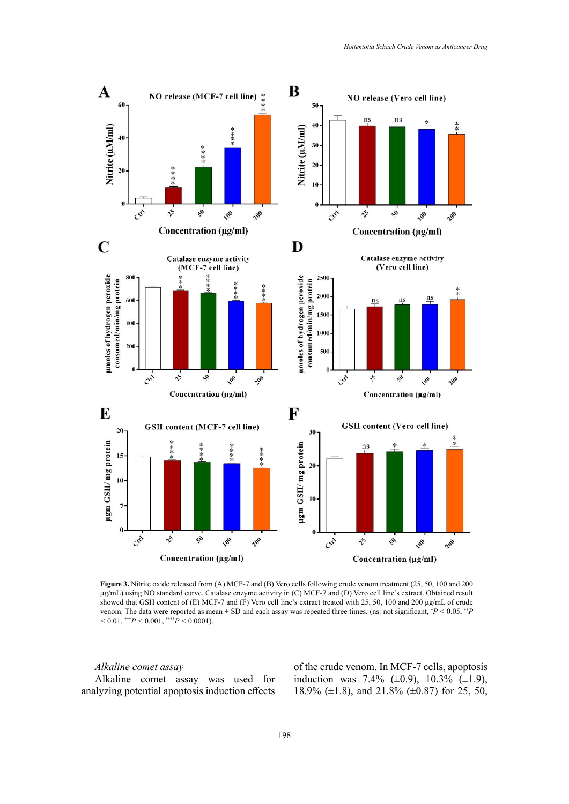

Figure 3. Nitrite oxide released from (A) MCF-7 and (B) Vero cells following crude venom treatment (25, 50, 100 and 200 showed that GSH content of (E) MCF-7 and (F) Vero cell line's extract treated with 25, 50, 100 and 200  $\mu g/mL$  of crude venom. The data were reported as mean  $\pm$  SD and each assay was repeated three times. (ns: not significant,  $P < 0.05$ ,  $P < 0.001$ ). μg/mL) using NO standard curve. Catalase enzyme activity in (C) MCF-7 and (D) Vero cell line's extract. Obtained result  $<$  0.01, \*\*\* $P$   $<$  0.001, \*\*\*\* $P$   $<$  0.0001).

# *Alkaline comet assay*

Alkaline comet assay was used for analyzing potential apoptosis induction effects

of the crude venom. In MCF-7 cells, apoptosis induction was 7.4%  $(\pm 0.9)$ , 10.3%  $(\pm 1.9)$ , 18.9% (±1.8), and 21.8% (±0.87) for 25, 50,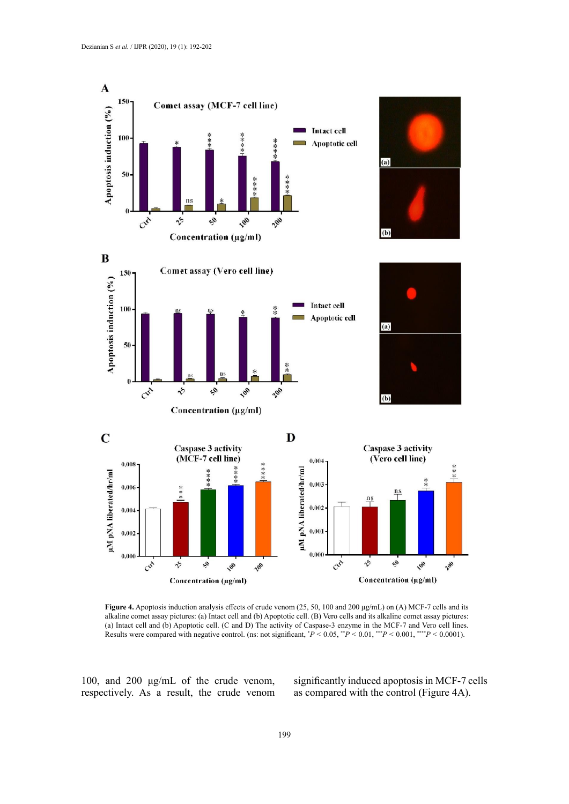

Figure 4. Apoptosis induction analysis effects of crude venom (25, 50, 100 and 200 µg/mL) on (A) MCF-7 cells and its (a) Intact cell and (b) Apoptotic cell. (C and D) The activity of Caspase-3 enzyme in the MCF-7 and Vero cell lines. Results were compared with negative control. (ns: not significant,  $P < 0.05$ ,  $P < 0.01$ ,  $P > 0.001$ ,  $P > 0.0001$ ). alkaline comet assay pictures: (a) Intact cell and (b) Apoptotic cell. (B) Vero cells and its alkaline comet assay pictures:

100, and 200 μg/mL of the crude venom, respectively. As a result, the crude venom significantly induced apoptosis in MCF-7 cells as compared with the control (Figure 4A).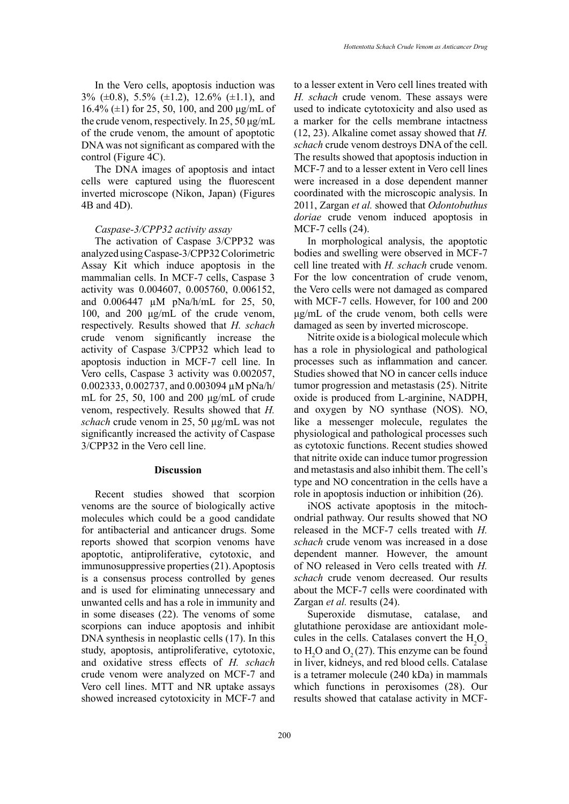In the Vero cells, apoptosis induction was 3% (±0.8), 5.5% (±1.2), 12.6% (±1.1), and 16.4% ( $\pm$ 1) for 25, 50, 100, and 200 μg/mL of the crude venom, respectively. In 25, 50  $\mu$ g/mL of the crude venom, the amount of apoptotic DNA was not significant as compared with the control (Figure 4C).

The DNA images of apoptosis and intact cells were captured using the fluorescent inverted microscope (Nikon, Japan) (Figures 4B and 4D).

#### *Caspase-3/CPP32 activity assay*

The activation of Caspase 3/CPP32 was analyzed using Caspase-3/CPP32 Colorimetric Assay Kit which induce apoptosis in the mammalian cells. In MCF-7 cells, Caspase 3 activity was 0.004607, 0.005760, 0.006152, and 0.006447 µM pNa/h/mL for 25, 50, 100, and 200 μg/mL of the crude venom, respectively. Results showed that *H. schach*  crude venom significantly increase the activity of Caspase 3/CPP32 which lead to apoptosis induction in MCF-7 cell line. In Vero cells, Caspase 3 activity was 0.002057, 0.002333, 0.002737, and 0.003094 µM pNa/h/ mL for 25, 50, 100 and 200 μg/mL of crude venom, respectively. Results showed that *H. schach* crude venom in 25, 50 µg/mL was not significantly increased the activity of Caspase 3/CPP32 in the Vero cell line.

## **Discussion**

Recent studies showed that scorpion venoms are the source of biologically active molecules which could be a good candidate for antibacterial and anticancer drugs. Some reports showed that scorpion venoms have apoptotic, antiproliferative, cytotoxic, and immunosuppressive properties (21). Apoptosis is a consensus process controlled by genes and is used for eliminating unnecessary and unwanted cells and has a role in immunity and in some diseases (22). The venoms of some scorpions can induce apoptosis and inhibit DNA synthesis in neoplastic cells (17). In this study, apoptosis, antiproliferative, cytotoxic, and oxidative stress effects of *H. schach* crude venom were analyzed on MCF-7 and Vero cell lines. MTT and NR uptake assays showed increased cytotoxicity in MCF-7 and

to a lesser extent in Vero cell lines treated with *H. schach* crude venom. These assays were used to indicate cytotoxicity and also used as a marker for the cells membrane intactness (12, 23). Alkaline comet assay showed that *H. schach* crude venom destroys DNA of the cell. The results showed that apoptosis induction in MCF-7 and to a lesser extent in Vero cell lines were increased in a dose dependent manner coordinated with the microscopic analysis. In 2011, Zargan *et al.* showed that *Odontobuthus doriae* crude venom induced apoptosis in MCF-7 cells (24).

In morphological analysis, the apoptotic bodies and swelling were observed in MCF-7 cell line treated with *H. schach* crude venom. For the low concentration of crude venom, the Vero cells were not damaged as compared with MCF-7 cells. However, for 100 and 200 μg/mL of the crude venom, both cells were damaged as seen by inverted microscope.

Nitrite oxide is a biological molecule which has a role in physiological and pathological processes such as inflammation and cancer. Studies showed that NO in cancer cells induce tumor progression and metastasis (25). Nitrite oxide is produced from L-arginine, NADPH, and oxygen by NO synthase (NOS). NO, like a messenger molecule, regulates the physiological and pathological processes such as cytotoxic functions. Recent studies showed that nitrite oxide can induce tumor progression and metastasis and also inhibit them. The cell's type and NO concentration in the cells have a role in apoptosis induction or inhibition (26).

iNOS activate apoptosis in the mitochondrial pathway. Our results showed that NO released in the MCF-7 cells treated with *H. schach* crude venom was increased in a dose dependent manner. However, the amount of NO released in Vero cells treated with *H. schach* crude venom decreased. Our results about the MCF-7 cells were coordinated with Zargan *et al.* results (24).

Superoxide dismutase, catalase, and glutathione peroxidase are antioxidant molecules in the cells. Catalases convert the  $H_2O_2$ to  $H_2O$  and  $O_2(27)$ . This enzyme can be found in liver, kidneys, and red blood cells. Catalase is a tetramer molecule (240 kDa) in mammals which functions in peroxisomes (28). Our results showed that catalase activity in MCF-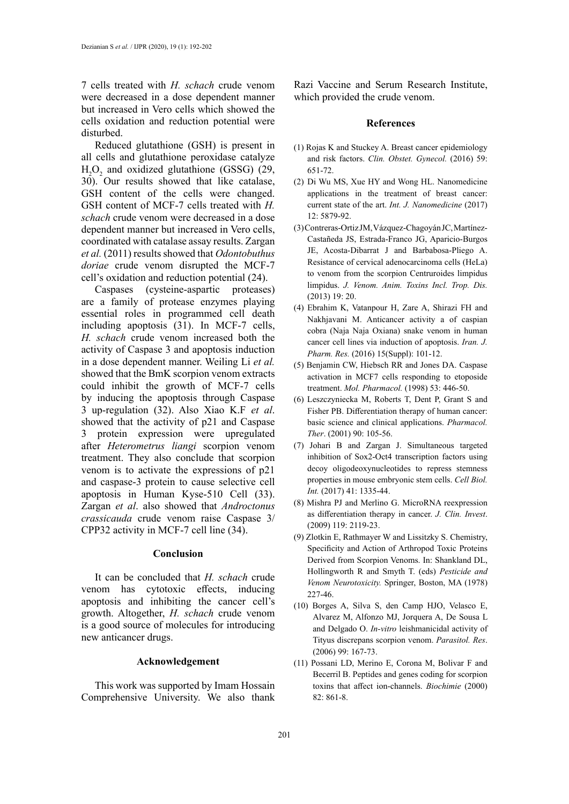7 cells treated with *H. schach* crude venom were decreased in a dose dependent manner but increased in Vero cells which showed the cells oxidation and reduction potential were disturbed.

Reduced glutathione (GSH) is present in all cells and glutathione peroxidase catalyze  $H_2O_2$  and oxidized glutathione (GSSG) (29, 30). Our results showed that like catalase, GSH content of the cells were changed. GSH content of MCF-7 cells treated with *H. schach* crude venom were decreased in a dose dependent manner but increased in Vero cells, coordinated with catalase assay results. Zargan *et al.* (2011) results showed that *Odontobuthus doriae* crude venom disrupted the MCF-7 cell's oxidation and reduction potential (24).

Caspases (cysteine-aspartic proteases) are a family of protease enzymes playing essential roles in programmed cell death including apoptosis (31). In MCF-7 cells, *H. schach* crude venom increased both the activity of Caspase 3 and apoptosis induction in a dose dependent manner. Weiling Li *et al.*  showed that the BmK scorpion venom extracts could inhibit the growth of MCF-7 cells by inducing the apoptosis through Caspase 3 up-regulation (32). Also Xiao K.F *et al*. showed that the activity of p21 and Caspase 3 protein expression were upregulated after *Heterometrus liangi* scorpion venom treatment. They also conclude that scorpion venom is to activate the expressions of p21 and caspase-3 protein to cause selective cell apoptosis in Human Kyse-510 Cell (33). Zargan *et al*. also showed that *Androctonus crassicauda* crude venom raise Caspase 3/ CPP32 activity in MCF-7 cell line (34).

#### **Conclusion**

It can be concluded that *H. schach* crude venom has cytotoxic effects, inducing apoptosis and inhibiting the cancer cell's growth. Altogether, *H. schach* crude venom is a good source of molecules for introducing new anticancer drugs.

## **Acknowledgement**

This work was supported by Imam Hossain Comprehensive University. We also thank Razi Vaccine and Serum Research Institute, which provided the crude venom.

# **References**

- (1) Rojas K and Stuckey A. Breast cancer epidemiology and risk factors. *Clin. Obstet. Gynecol.* (2016) 59: 651-72.
- (2) Di Wu MS, Xue HY and Wong HL. Nanomedicine applications in the treatment of breast cancer: current state of the art. *Int. J. Nanomedicine* (2017) 12: 5879-92.
- (3) Contreras-Ortiz JM, Vázquez-Chagoyán JC, Martínez-Castañeda JS, Estrada-Franco JG, Aparicio-Burgos JE, Acosta-Dibarrat J and Barbabosa-Pliego A. Resistance of cervical adenocarcinoma cells (HeLa) to venom from the scorpion Centruroides limpidus limpidus. *J. Venom. Anim. Toxins Incl. Trop. Dis.* (2013) 19: 20.
- (4) Ebrahim K, Vatanpour H, Zare A, Shirazi FH and Nakhjavani M. Anticancer activity a of caspian cobra (Naja Naja Oxiana) snake venom in human cancer cell lines via induction of apoptosis. *Iran. J. Pharm. Res.* (2016) 15(Suppl): 101-12.
- (5) Benjamin CW, Hiebsch RR and Jones DA. Caspase activation in MCF7 cells responding to etoposide treatment. *Mol. Pharmacol.* (1998) 53: 446-50.
- (6) Leszczyniecka M, Roberts T, Dent P, Grant S and Fisher PB. Differentiation therapy of human cancer: basic science and clinical applications. *Pharmacol. Ther*. (2001) 90: 105-56.
- (7) Johari B and Zargan J. Simultaneous targeted inhibition of Sox2‐Oct4 transcription factors using decoy oligodeoxynucleotides to repress stemness properties in mouse embryonic stem cells. *Cell Biol. Int.* (2017) 41: 1335-44.
- (8) Mishra PJ and Merlino G. MicroRNA reexpression as differentiation therapy in cancer. *J. Clin. Invest*. (2009) 119: 2119-23.
- (9) Zlotkin E, Rathmayer W and Lissitzky S. Chemistry, Specificity and Action of Arthropod Toxic Proteins Derived from Scorpion Venoms. In: Shankland DL, Hollingworth R and Smyth T. (eds) *Pesticide and Venom Neurotoxicity.* Springer, Boston, MA (1978) 227-46.
- (10) Borges A, Silva S, den Camp HJO, Velasco E, Alvarez M, Alfonzo MJ, Jorquera A, De Sousa L and Delgado O. *In-vitro* leishmanicidal activity of Tityus discrepans scorpion venom. *Parasitol. Res*. (2006) 99: 167-73.
- (11) Possani LD, Merino E, Corona M, Bolivar F and Becerril B. Peptides and genes coding for scorpion toxins that affect ion-channels. *Biochimie* (2000) 82: 861-8.